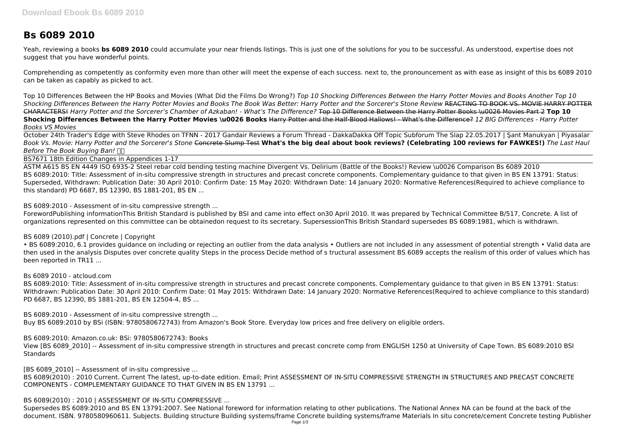# **Bs 6089 2010**

Yeah, reviewing a books **bs 6089 2010** could accumulate your near friends listings. This is just one of the solutions for you to be successful. As understood, expertise does not suggest that you have wonderful points.

Comprehending as competently as conformity even more than other will meet the expense of each success. next to, the pronouncement as with ease as insight of this bs 6089 2010 can be taken as capably as picked to act.

Top 10 Differences Between the HP Books and Movies (What Did the Films Do Wrong?) *Top 10 Shocking Differences Between the Harry Potter Movies and Books Another Top 10 Shocking Differences Between the Harry Potter Movies and Books The Book Was Better: Harry Potter and the Sorcerer's Stone Review* REACTING TO BOOK VS. MOVIE HARRY POTTER CHARACTERS! *Harry Potter and the Sorcerer's Chamber of Azkaban! - What's The Difference?* Top 10 Difference Between the Harry Potter Books \u0026 Movies Part 2 **Top 10 Shocking Differences Between the Harry Potter Movies \u0026 Books** Harry Potter and the Half-Blood Hallows! - What's the Difference? *12 BIG Differences - Harry Potter Books VS Movies*

October 24th Trader's Edge with Steve Rhodes on TFNN - 2017 Gandair Reviews a Forum Thread - DakkaDakka Off Topic Subforum The Slap 22.05.2017 | Şant Manukyan | Piyasalar *Book Vs. Movie: Harry Potter and the Sorcerer's Stone* Concrete Slump Test **What's the big deal about book reviews? (Celebrating 100 reviews for FAWKES!)** *The Last Haul Before The Book Buying Ban!* 

• BS 6089:2010, 6.1 provides guidance on including or rejecting an outlier from the data analysis • Outliers are not included in any assessment of potential strength • Valid data are then used in the analysis Disputes over concrete quality Steps in the process Decide method of s tructural assessment BS 6089 accepts the realism of this order of values which has been reported in TR11 ...

BS7671 18th Edition Changes in Appendices 1-17

View [BS 6089\_2010] -- Assessment of in-situ compressive strength in structures and precast concrete comp from ENGLISH 1250 at University of Cape Town. BS 6089:2010 BSI **Standards** 

[BS 6089\_2010] -- Assessment of in-situ compressive ...

ASTM A615 BS EN 4449 ISO 6935-2 Steel rebar cold bending testing machine Divergent Vs. Delirium (Battle of the Books!) Review \u0026 Comparison Bs 6089 2010 BS 6089:2010: Title: Assessment of in-situ compressive strength in structures and precast concrete components. Complementary guidance to that given in BS EN 13791: Status: Superseded, Withdrawn: Publication Date: 30 April 2010: Confirm Date: 15 May 2020: Withdrawn Date: 14 January 2020: Normative References(Required to achieve compliance to this standard) PD 6687, BS 12390, BS 1881-201, BS EN ...

BS 6089:2010 - Assessment of in-situ compressive strength ...

ForewordPublishing informationThis British Standard is published by BSI and came into effect on30 April 2010. It was prepared by Technical Committee B/517, Concrete. A list of organizations represented on this committee can be obtainedon request to its secretary. SupersessionThis British Standard supersedes BS 6089:1981, which is withdrawn.

BS 6089 (2010).pdf | Concrete | Copyright

Bs 6089 2010 - atcloud.com

BS 6089:2010: Title: Assessment of in-situ compressive strength in structures and precast concrete components. Complementary guidance to that given in BS EN 13791: Status: Withdrawn: Publication Date: 30 April 2010: Confirm Date: 01 May 2015: Withdrawn Date: 14 January 2020: Normative References(Required to achieve compliance to this standard) PD 6687, BS 12390, BS 1881-201, BS EN 12504-4, BS ...

BS 6089:2010 - Assessment of in-situ compressive strength ... Buy BS 6089:2010 by BSi (ISBN: 9780580672743) from Amazon's Book Store. Everyday low prices and free delivery on eligible orders.

BS 6089:2010: Amazon.co.uk: BSi: 9780580672743: Books

BS 6089(2010) : 2010 Current. Current The latest, up-to-date edition. Email; Print ASSESSMENT OF IN-SITU COMPRESSIVE STRENGTH IN STRUCTURES AND PRECAST CONCRETE COMPONENTS - COMPLEMENTARY GUIDANCE TO THAT GIVEN IN BS EN 13791 ...

BS 6089(2010) : 2010 | ASSESSMENT OF IN-SITU COMPRESSIVE ...

Supersedes BS 6089:2010 and BS EN 13791:2007. See National foreword for information relating to other publications. The National Annex NA can be found at the back of the document. ISBN. 9780580960611. Subjects. Building structure Building systems/frame Concrete building systems/frame Materials In situ concrete/cement Concrete testing Publisher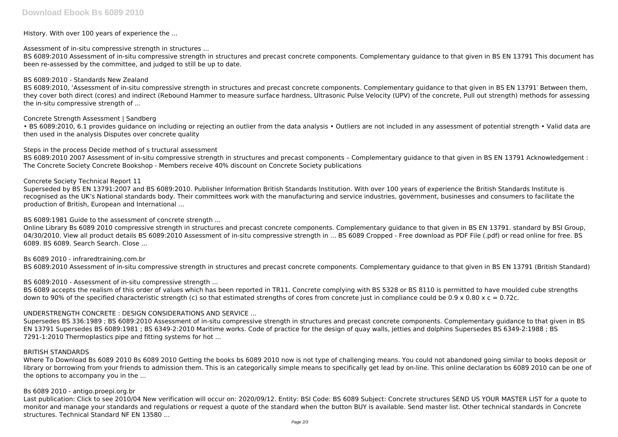History. With over 100 years of experience the ...

Assessment of in-situ compressive strength in structures ...

BS 6089:2010 Assessment of in-situ compressive strength in structures and precast concrete components. Complementary guidance to that given in BS EN 13791 This document has been re-assessed by the committee, and judged to still be up to date.

### BS 6089:2010 - Standards New Zealand

• BS 6089:2010. 6.1 provides quidance on including or rejecting an outlier from the data analysis • Outliers are not included in any assessment of potential strength • Valid data are then used in the analysis Disputes over concrete quality

BS 6089:2010, 'Assessment of in-situ compressive strength in structures and precast concrete components. Complementary guidance to that given in BS EN 13791′ Between them, they cover both direct (cores) and indirect (Rebound Hammer to measure surface hardness, Ultrasonic Pulse Velocity (UPV) of the concrete, Pull out strength) methods for assessing the in-situ compressive strength of ...

Concrete Strength Assessment | Sandberg

Steps in the process Decide method of s tructural assessment

BS 6089:2010 2007 Assessment of in-situ compressive strength in structures and precast components – Complementary guidance to that given in BS EN 13791 Acknowledgement : The Concrete Society Concrete Bookshop - Members receive 40% discount on Concrete Society publications

BS 6089 accepts the realism of this order of values which has been reported in TR11. Concrete complying with BS 5328 or BS 8110 is permitted to have moulded cube strengths down to 90% of the specified characteristic strength (c) so that estimated strengths of cores from concrete just in compliance could be  $0.9 \times 0.80 \times c = 0.72c$ .

### Concrete Society Technical Report 11

Superseded by BS EN 13791:2007 and BS 6089:2010. Publisher Information British Standards Institution. With over 100 years of experience the British Standards Institute is recognised as the UK's National standards body. Their committees work with the manufacturing and service industries, government, businesses and consumers to facilitate the production of British, European and International ...

BS 6089:1981 Guide to the assessment of concrete strength ...

Last publication: Click to see 2010/04 New verification will occur on: 2020/09/12. Entity: BSI Code: BS 6089 Subject: Concrete structures SEND US YOUR MASTER LIST for a quote to monitor and manage your standards and regulations or request a quote of the standard when the button BUY is available. Send master list. Other technical standards in Concrete structures. Technical Standard NF EN 13580 ...

Online Library Bs 6089 2010 compressive strength in structures and precast concrete components. Complementary guidance to that given in BS EN 13791. standard by BSI Group, 04/30/2010. View all product details BS 6089:2010 Assessment of in-situ compressive strength in ... BS 6089 Cropped - Free download as PDF File (.pdf) or read online for free. BS 6089. BS 6089. Search Search. Close ...

Bs 6089 2010 - infraredtraining.com.br BS 6089:2010 Assessment of in-situ compressive strength in structures and precast concrete components. Complementary guidance to that given in BS EN 13791 (British Standard)

BS 6089:2010 - Assessment of in-situ compressive strength ...

# UNDERSTRENGTH CONCRETE : DESIGN CONSIDERATIONS AND SERVICE ...

Supersedes BS 336:1989 ; BS 6089:2010 Assessment of in-situ compressive strength in structures and precast concrete components. Complementary guidance to that given in BS EN 13791 Supersedes BS 6089:1981 ; BS 6349-2:2010 Maritime works. Code of practice for the design of quay walls, jetties and dolphins Supersedes BS 6349-2:1988 ; BS 7291-1:2010 Thermoplastics pipe and fitting systems for hot ...

#### BRITISH STANDARDS

Where To Download Bs 6089 2010 Bs 6089 2010 Getting the books bs 6089 2010 now is not type of challenging means. You could not abandoned going similar to books deposit or library or borrowing from your friends to admission them. This is an categorically simple means to specifically get lead by on-line. This online declaration bs 6089 2010 can be one of the options to accompany you in the ...

# Bs 6089 2010 - antigo.proepi.org.br